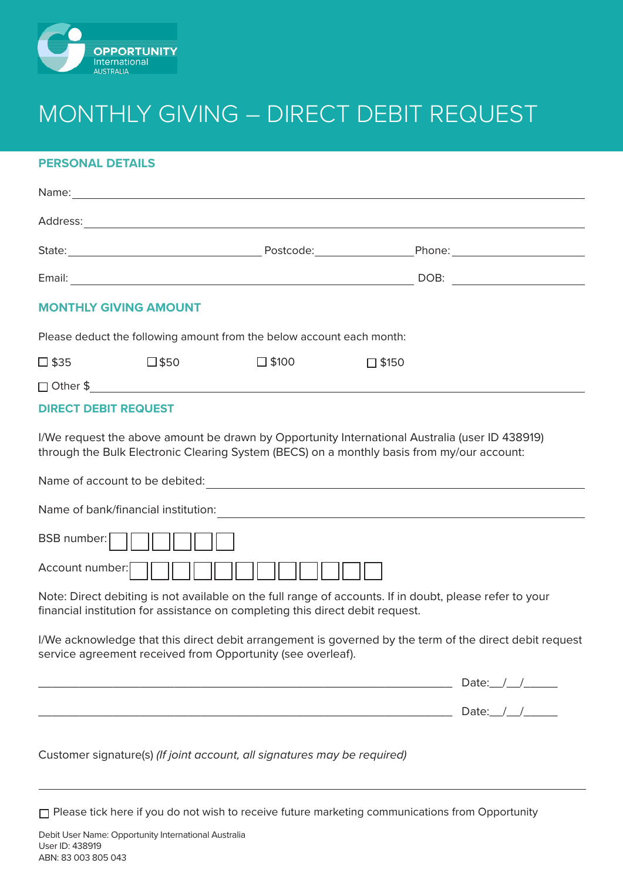

## MONTHLY GIVING – DIRECT DEBIT REQUEST

#### **PERSONAL DETAILS**

| <b>MONTHLY GIVING AMOUNT</b> |                |                                                                                            |                 |                                                                                                         |
|------------------------------|----------------|--------------------------------------------------------------------------------------------|-----------------|---------------------------------------------------------------------------------------------------------|
|                              |                | Please deduct the following amount from the below account each month:                      |                 |                                                                                                         |
| $\square$ \$35               | $\square$ \$50 | $\square$ \$100                                                                            | $\square$ \$150 |                                                                                                         |
|                              |                |                                                                                            |                 |                                                                                                         |
| <b>DIRECT DEBIT REQUEST</b>  |                |                                                                                            |                 |                                                                                                         |
|                              |                | through the Bulk Electronic Clearing System (BECS) on a monthly basis from my/our account: |                 | I/We request the above amount be drawn by Opportunity International Australia (user ID 438919)          |
|                              |                |                                                                                            |                 |                                                                                                         |
| BSB number:                  |                |                                                                                            |                 |                                                                                                         |
| Account number:              |                |                                                                                            |                 |                                                                                                         |
|                              |                | financial institution for assistance on completing this direct debit request.              |                 | Note: Direct debiting is not available on the full range of accounts. If in doubt, please refer to your |
|                              |                | service agreement received from Opportunity (see overleaf).                                |                 | I/We acknowledge that this direct debit arrangement is governed by the term of the direct debit request |
|                              |                |                                                                                            |                 | Date: $\frac{1}{\sqrt{2}}$                                                                              |
|                              |                |                                                                                            |                 | Date: $\_\_\_\_\_\_\_\$                                                                                 |

Customer signature(s) *(If joint account, all signatures may be required)*

□ Please tick here if you do not wish to receive future marketing communications from Opportunity

Debit User Name: Opportunity International Australia User ID: 438919 ABN: 83 003 805 043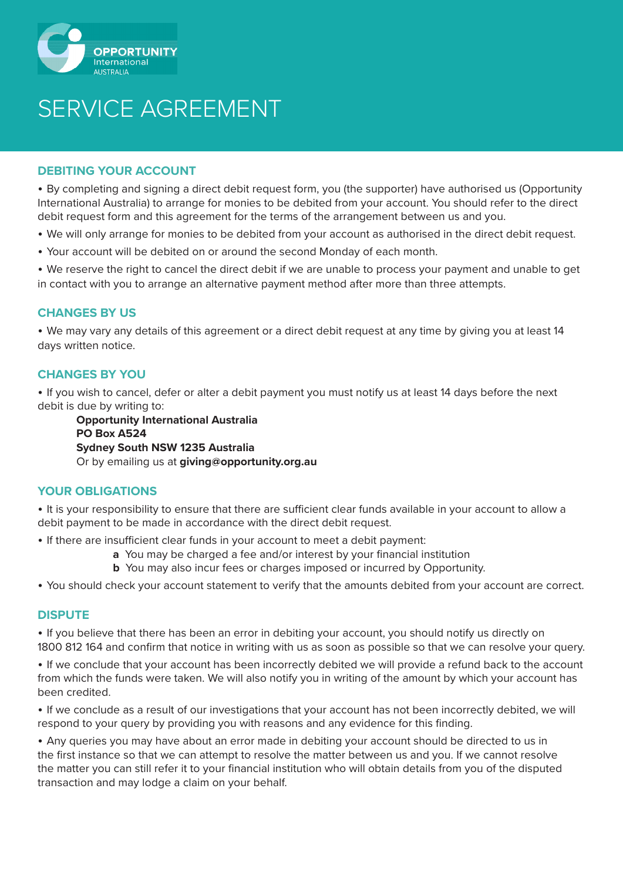

# SERVICE AGREEMENT

#### **DEBITING YOUR ACCOUNT**

• By completing and signing a direct debit request form, you (the supporter) have authorised us (Opportunity International Australia) to arrange for monies to be debited from your account. You should refer to the direct debit request form and this agreement for the terms of the arrangement between us and you.

- We will only arrange for monies to be debited from your account as authorised in the direct debit request.
- Your account will be debited on or around the second Monday of each month.

• We reserve the right to cancel the direct debit if we are unable to process your payment and unable to get in contact with you to arrange an alternative payment method after more than three attempts.

## **CHANGES BY US**

• We may vary any details of this agreement or a direct debit request at any time by giving you at least 14 days written notice.

## **CHANGES BY YOU**

• If you wish to cancel, defer or alter a debit payment you must notify us at least 14 days before the next debit is due by writing to:

**Opportunity International Australia PO Box A524 Sydney South NSW 1235 Australia** Or by emailing us at **giving@opportunity.org.au**

#### **YOUR OBLIGATIONS**

• It is your responsibility to ensure that there are sufficient clear funds available in your account to allow a debit payment to be made in accordance with the direct debit request.

• If there are insufficient clear funds in your account to meet a debit payment:

- **a** You may be charged a fee and/or interest by your financial institution
- **b** You may also incur fees or charges imposed or incurred by Opportunity.

• You should check your account statement to verify that the amounts debited from your account are correct.

#### **DISPUTE**

• If you believe that there has been an error in debiting your account, you should notify us directly on 1800 812 164 and confirm that notice in writing with us as soon as possible so that we can resolve your query.

• If we conclude that your account has been incorrectly debited we will provide a refund back to the account from which the funds were taken. We will also notify you in writing of the amount by which your account has been credited.

• If we conclude as a result of our investigations that your account has not been incorrectly debited, we will respond to your query by providing you with reasons and any evidence for this finding.

• Any queries you may have about an error made in debiting your account should be directed to us in the first instance so that we can attempt to resolve the matter between us and you. If we cannot resolve the matter you can still refer it to your financial institution who will obtain details from you of the disputed transaction and may lodge a claim on your behalf.